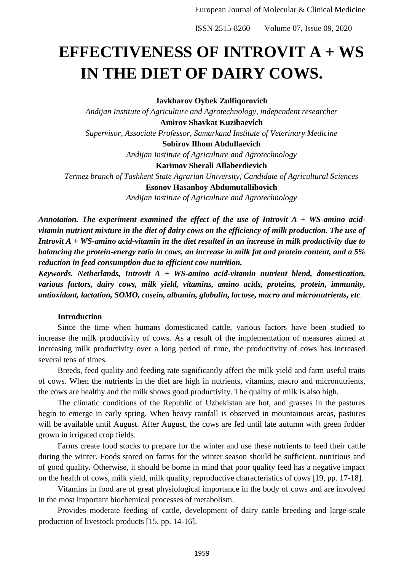# **EFFECTIVENESS OF INTROVIT A + WS IN THE DIET OF DAIRY COWS.**

**Javkharov Oybek Zulfiqorovich**

*Andijan Institute of Agriculture and Agrotechnology, independent researcher* **Amirov Shavkat Kuzibaevich** *Supervisor, Associate Professor, Samarkand Institute of Veterinary Medicine* **Sobirov Ilhom Abdullaevich** *Andijan Institute of Agriculture and Agrotechnology* **Karimov Sherali Allaberdievich** *Termez branch of Tashkent State Agrarian University, Candidate of Agricultural Sciences* **Esonov Hasanboy Abdumutallibovich**

*Andijan Institute of Agriculture and Agrotechnology*

*Annotation. The experiment examined the effect of the use of Introvit A + WS-amino acidvitamin nutrient mixture in the diet of dairy cows on the efficiency of milk production. The use of Introvit A + WS-amino acid-vitamin in the diet resulted in an increase in milk productivity due to balancing the protein-energy ratio in cows, an increase in milk fat and protein content, and a 5% reduction in feed consumption due to efficient cow nutrition.*

*Keywords. Netherlands, Introvit A + WS-amino acid-vitamin nutrient blend, domestication, various factors, dairy cows, milk yield, vitamins, amino acids, proteins, protein, immunity, antioxidant, lactation, SOMO, casein, albumin, globulin, lactose, macro and micronutrients, etc*.

## **Introduction**

Since the time when humans domesticated cattle, various factors have been studied to increase the milk productivity of cows. As a result of the implementation of measures aimed at increasing milk productivity over a long period of time, the productivity of cows has increased several tens of times.

Breeds, feed quality and feeding rate significantly affect the milk yield and farm useful traits of cows. When the nutrients in the diet are high in nutrients, vitamins, macro and micronutrients, the cows are healthy and the milk shows good productivity. The quality of milk is also high.

The climatic conditions of the Republic of Uzbekistan are hot, and grasses in the pastures begin to emerge in early spring. When heavy rainfall is observed in mountainous areas, pastures will be available until August. After August, the cows are fed until late autumn with green fodder grown in irrigated crop fields.

Farms create food stocks to prepare for the winter and use these nutrients to feed their cattle during the winter. Foods stored on farms for the winter season should be sufficient, nutritious and of good quality. Otherwise, it should be borne in mind that poor quality feed has a negative impact on the health of cows, milk yield, milk quality, reproductive characteristics of cows [19, pp. 17-18].

Vitamins in food are of great physiological importance in the body of cows and are involved in the most important biochemical processes of metabolism.

Provides moderate feeding of cattle, development of dairy cattle breeding and large-scale production of livestock products [15, pp. 14-16].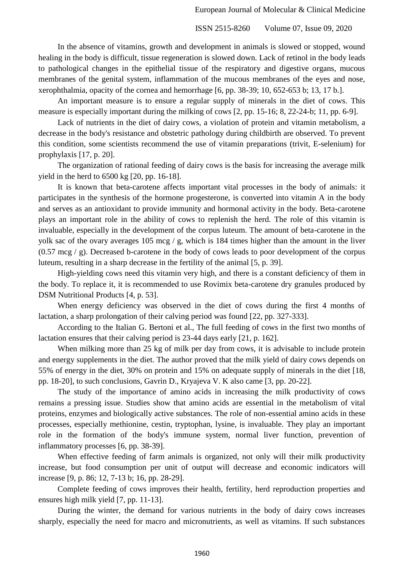In the absence of vitamins, growth and development in animals is slowed or stopped, wound healing in the body is difficult, tissue regeneration is slowed down. Lack of retinol in the body leads to pathological changes in the epithelial tissue of the respiratory and digestive organs, mucous membranes of the genital system, inflammation of the mucous membranes of the eyes and nose, xerophthalmia, opacity of the cornea and hemorrhage [6, pp. 38-39; 10, 652-653 b; 13, 17 b.].

An important measure is to ensure a regular supply of minerals in the diet of cows. This measure is especially important during the milking of cows [2, pp. 15-16; 8, 22-24-b; 11, pp. 6-9].

Lack of nutrients in the diet of dairy cows, a violation of protein and vitamin metabolism, a decrease in the body's resistance and obstetric pathology during childbirth are observed. To prevent this condition, some scientists recommend the use of vitamin preparations (trivit, E-selenium) for prophylaxis [17, p. 20].

The organization of rational feeding of dairy cows is the basis for increasing the average milk yield in the herd to 6500 kg [20, pp. 16-18].

It is known that beta-carotene affects important vital processes in the body of animals: it participates in the synthesis of the hormone progesterone, is converted into vitamin A in the body and serves as an antioxidant to provide immunity and hormonal activity in the body. Beta-carotene plays an important role in the ability of cows to replenish the herd. The role of this vitamin is invaluable, especially in the development of the corpus luteum. The amount of beta-carotene in the yolk sac of the ovary averages 105 mcg / g, which is 184 times higher than the amount in the liver (0.57 mcg / g). Decreased b-carotene in the body of cows leads to poor development of the corpus luteum, resulting in a sharp decrease in the fertility of the animal [5, p. 39].

High-yielding cows need this vitamin very high, and there is a constant deficiency of them in the body. To replace it, it is recommended to use Rovimix beta-carotene dry granules produced by DSM Nutritional Products [4, p. 53].

When energy deficiency was observed in the diet of cows during the first 4 months of lactation, a sharp prolongation of their calving period was found [22, pp. 327-333].

According to the Italian G. Bertoni et al., The full feeding of cows in the first two months of lactation ensures that their calving period is 23-44 days early [21, p. 162].

When milking more than 25 kg of milk per day from cows, it is advisable to include protein and energy supplements in the diet. The author proved that the milk yield of dairy cows depends on 55% of energy in the diet, 30% on protein and 15% on adequate supply of minerals in the diet [18, pp. 18-20], to such conclusions, Gavrin D., Kryajeva V. K also came [3, pp. 20-22].

The study of the importance of amino acids in increasing the milk productivity of cows remains a pressing issue. Studies show that amino acids are essential in the metabolism of vital proteins, enzymes and biologically active substances. The role of non-essential amino acids in these processes, especially methionine, cestin, tryptophan, lysine, is invaluable. They play an important role in the formation of the body's immune system, normal liver function, prevention of inflammatory processes [6, pp. 38-39].

When effective feeding of farm animals is organized, not only will their milk productivity increase, but food consumption per unit of output will decrease and economic indicators will increase [9, p. 86; 12, 7-13 b; 16, pp. 28-29].

Complete feeding of cows improves their health, fertility, herd reproduction properties and ensures high milk yield [7, pp. 11-13].

During the winter, the demand for various nutrients in the body of dairy cows increases sharply, especially the need for macro and micronutrients, as well as vitamins. If such substances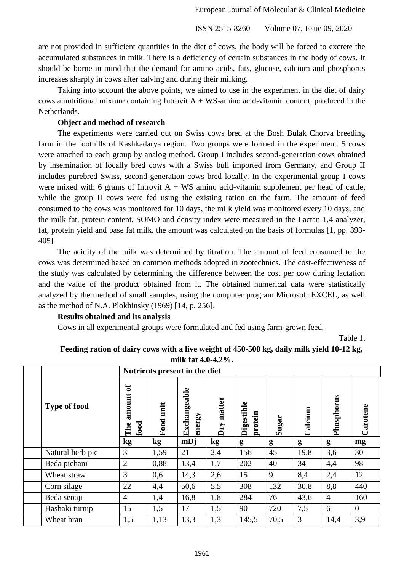are not provided in sufficient quantities in the diet of cows, the body will be forced to excrete the accumulated substances in milk. There is a deficiency of certain substances in the body of cows. It should be borne in mind that the demand for amino acids, fats, glucose, calcium and phosphorus increases sharply in cows after calving and during their milking.

Taking into account the above points, we aimed to use in the experiment in the diet of dairy cows a nutritional mixture containing Introvit  $A + WS$ -amino acid-vitamin content, produced in the Netherlands.

# **Object and method of research**

The experiments were carried out on Swiss cows bred at the Bosh Bulak Chorva breeding farm in the foothills of Kashkadarya region. Two groups were formed in the experiment. 5 cows were attached to each group by analog method. Group I includes second-generation cows obtained by insemination of locally bred cows with a Swiss bull imported from Germany, and Group II includes purebred Swiss, second-generation cows bred locally. In the experimental group I cows were mixed with 6 grams of Introvit  $A + WS$  amino acid-vitamin supplement per head of cattle, while the group II cows were fed using the existing ration on the farm. The amount of feed consumed to the cows was monitored for 10 days, the milk yield was monitored every 10 days, and the milk fat, protein content, SOMO and density index were measured in the Lactan-1,4 analyzer, fat, protein yield and base fat milk. the amount was calculated on the basis of formulas [1, pp. 393- 405].

The acidity of the milk was determined by titration. The amount of feed consumed to the cows was determined based on common methods adopted in zootechnics. The cost-effectiveness of the study was calculated by determining the difference between the cost per cow during lactation and the value of the product obtained from it. The obtained numerical data were statistically analyzed by the method of small samples, using the computer program Microsoft EXCEL, as well as the method of N.A. Plokhinsky (1969) [14, p. 256].

### **Results obtained and its analysis**

Cows in all experimental groups were formulated and fed using farm-grown feed.

Table 1.

|                     | Nutrients present in the diet     |               |                        |                      |                       |       |         |                |                  |
|---------------------|-----------------------------------|---------------|------------------------|----------------------|-----------------------|-------|---------|----------------|------------------|
| <b>Type of food</b> | $\sigma$<br>amount<br>food<br>The | unit<br>Food  | Exchangeable<br>energy | matter<br><b>Dry</b> | Digestible<br>protein | Sugar | Calcium | Phosphorus     | Carotene         |
|                     | kg                                | $\mathbf{kg}$ | mDj                    | kg                   | g                     | g     | g       | g              | mg               |
| Natural herb pie    | 3                                 | 1,59          | 21                     | 2,4                  | 156                   | 45    | 19,8    | 3,6            | 30               |
| Beda pichani        | $\overline{2}$                    | 0,88          | 13,4                   | 1,7                  | 202                   | 40    | 34      | 4,4            | 98               |
| Wheat straw         | 3                                 | 0,6           | 14,3                   | 2,6                  | 15                    | 9     | 8,4     | 2,4            | 12               |
| Corn silage         | 22                                | 4,4           | 50,6                   | 5,5                  | 308                   | 132   | 30,8    | 8,8            | 440              |
| Beda senaji         | $\overline{4}$                    | 1,4           | 16,8                   | 1,8                  | 284                   | 76    | 43,6    | $\overline{4}$ | 160              |
| Hashaki turnip      | 15                                | 1,5           | 17                     | 1,5                  | 90                    | 720   | 7,5     | 6              | $\boldsymbol{0}$ |
| Wheat bran          | 1,5                               | 1,13          | 13,3                   | 1,3                  | 145,5                 | 70,5  | 3       | 14,4           | 3,9              |

**Feeding ration of dairy cows with a live weight of 450-500 kg, daily milk yield 10-12 kg,** 

**milk fat 4.0-4.2%.**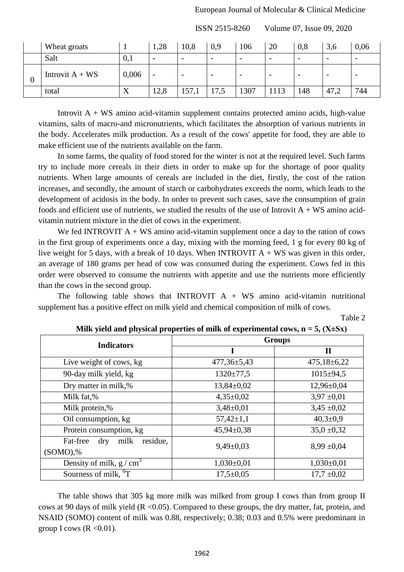| Wheat groats      |           | 1,28 | 10,8                     | 0,9                      | 106                      | 20                       | 0,8                      | 3,6                      | 0,06                     |
|-------------------|-----------|------|--------------------------|--------------------------|--------------------------|--------------------------|--------------------------|--------------------------|--------------------------|
| Salt              | 0,1       | -    | $\overline{\phantom{0}}$ | $\overline{\phantom{m}}$ | $\overline{\phantom{0}}$ | $\overline{\phantom{a}}$ | $\overline{\phantom{a}}$ | $\overline{\phantom{a}}$ | -                        |
| Introvit $A + WS$ | 0,006     |      | $\overline{\phantom{0}}$ | $\overline{\phantom{a}}$ | $\overline{\phantom{0}}$ |                          |                          |                          | $\overline{\phantom{0}}$ |
| total             | $\Lambda$ | 12,8 | 157,1                    | 17,5                     | 1307                     | 1113                     | 148                      | 47,2                     | 744                      |

Introvit  $A + WS$  amino acid-vitamin supplement contains protected amino acids, high-value vitamins, salts of macro-and micronutrients, which facilitates the absorption of various nutrients in the body. Accelerates milk production. As a result of the cows' appetite for food, they are able to make efficient use of the nutrients available on the farm.

In some farms, the quality of food stored for the winter is not at the required level. Such farms try to include more cereals in their diets in order to make up for the shortage of poor quality nutrients. When large amounts of cereals are included in the diet, firstly, the cost of the ration increases, and secondly, the amount of starch or carbohydrates exceeds the norm, which leads to the development of acidosis in the body. In order to prevent such cases, save the consumption of grain foods and efficient use of nutrients, we studied the results of the use of Introvit  $A + WS$  amino acidvitamin nutrient mixture in the diet of cows in the experiment.

We fed INTROVIT  $A + WS$  amino acid-vitamin supplement once a day to the ration of cows in the first group of experiments once a day, mixing with the morning feed, 1 g for every 80 kg of live weight for 5 days, with a break of 10 days. When INTROVIT  $A + WS$  was given in this order, an average of 180 grams per head of cow was consumed during the experiment. Cows fed in this order were observed to consume the nutrients with appetite and use the nutrients more efficiently than the cows in the second group.

The following table shows that INTROVIT  $A + WS$  amino acid-vitamin nutritional supplement has a positive effect on milk yield and chemical composition of milk of cows.

Table 2

| <b>Indicators</b>                          | <b>Groups</b>     |                   |  |  |  |  |
|--------------------------------------------|-------------------|-------------------|--|--|--|--|
|                                            | ш                 | П                 |  |  |  |  |
| Live weight of cows, kg                    | $477,36 \pm 5,43$ | $475,18 \pm 6,22$ |  |  |  |  |
| 90-day milk yield, kg                      | $1320 \pm 77.5$   | $1015 \pm 94.5$   |  |  |  |  |
| Dry matter in milk,%                       | $13,84\pm0.02$    | $12,96 \pm 0,04$  |  |  |  |  |
| Milk fat,%                                 | $4,35\pm0.02$     | $3,97 \pm 0,01$   |  |  |  |  |
| Milk protein,%                             | $3,48\pm0,01$     | $3,45 \pm 0,02$   |  |  |  |  |
| Oil consumption, kg                        | $57,42 \pm 1,1$   | $40,3{\pm}0,9$    |  |  |  |  |
| Protein consumption, kg                    | $45,94 \pm 0,38$  | $35.0 \pm 0.32$   |  |  |  |  |
| residue,<br>Fat-free<br>$\rm{dry}$<br>milk | $9,49\pm0,03$     | $8,99 \pm 0,04$   |  |  |  |  |
| $(SOMO),\%$                                |                   |                   |  |  |  |  |
| Density of milk, $g/cm3$                   | $1,030\pm0,01$    | $1,030\pm0,01$    |  |  |  |  |
| Sourness of milk, ${}^{0}T$                | $17,5+0,05$       | $17,7 \pm 0.02$   |  |  |  |  |

**Milk yield and physical properties of milk of experimental cows,**  $n = 5$ **,**  $(X \pm Sx)$ 

The table shows that 305 kg more milk was milked from group I cows than from group II cows at 90 days of milk yield ( $R < 0.05$ ). Compared to these groups, the dry matter, fat, protein, and NSAID (SOMO) content of milk was 0.88, respectively; 0.38; 0.03 and 0.5% were predominant in group I cows  $(R \le 0.01)$ .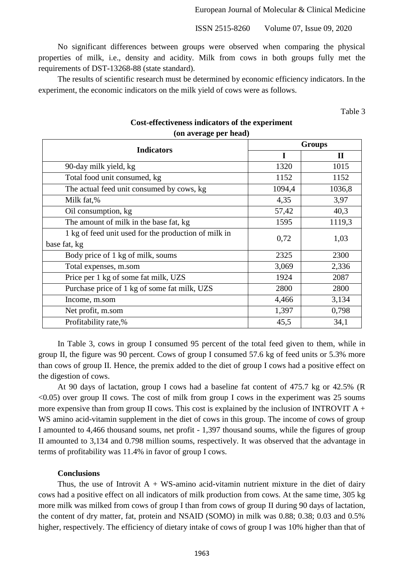No significant differences between groups were observed when comparing the physical properties of milk, i.e., density and acidity. Milk from cows in both groups fully met the requirements of DST-13268-88 (state standard).

The results of scientific research must be determined by economic efficiency indicators. In the experiment, the economic indicators on the milk yield of cows were as follows.

Table 3

| (on average per neag)                                |               |              |  |  |  |  |  |
|------------------------------------------------------|---------------|--------------|--|--|--|--|--|
| <b>Indicators</b>                                    | <b>Groups</b> |              |  |  |  |  |  |
|                                                      | I             | $\mathbf{I}$ |  |  |  |  |  |
| 90-day milk yield, kg                                | 1320          | 1015         |  |  |  |  |  |
| Total food unit consumed, kg                         | 1152          | 1152         |  |  |  |  |  |
| The actual feed unit consumed by cows, kg            | 1094,4        | 1036,8       |  |  |  |  |  |
| Milk fat,%                                           | 4,35          | 3,97         |  |  |  |  |  |
| Oil consumption, kg                                  | 57,42         | 40,3         |  |  |  |  |  |
| The amount of milk in the base fat, kg               | 1595          | 1119,3       |  |  |  |  |  |
| 1 kg of feed unit used for the production of milk in | 0,72          | 1,03         |  |  |  |  |  |
| base fat, kg                                         |               |              |  |  |  |  |  |
| Body price of 1 kg of milk, soums                    | 2325          | 2300         |  |  |  |  |  |
| Total expenses, m.som                                | 3,069         | 2,336        |  |  |  |  |  |
| Price per 1 kg of some fat milk, UZS                 | 1924          | 2087         |  |  |  |  |  |
| Purchase price of 1 kg of some fat milk, UZS         | 2800          | 2800         |  |  |  |  |  |
| Income, m.som                                        | 4,466         | 3,134        |  |  |  |  |  |
| Net profit, m.som                                    | 1,397         | 0,798        |  |  |  |  |  |
| Profitability rate,%                                 | 45,5          | 34,1         |  |  |  |  |  |

## **Cost-effectiveness indicators of the experiment (on average per head)**

In Table 3, cows in group I consumed 95 percent of the total feed given to them, while in group II, the figure was 90 percent. Cows of group I consumed 57.6 kg of feed units or 5.3% more than cows of group II. Hence, the premix added to the diet of group I cows had a positive effect on the digestion of cows.

At 90 days of lactation, group I cows had a baseline fat content of 475.7 kg or 42.5% (R  $\leq$ 0.05) over group II cows. The cost of milk from group I cows in the experiment was 25 soums more expensive than from group II cows. This cost is explained by the inclusion of INTROVIT  $A +$ WS amino acid-vitamin supplement in the diet of cows in this group. The income of cows of group I amounted to 4,466 thousand soums, net profit - 1,397 thousand soums, while the figures of group II amounted to 3,134 and 0.798 million soums, respectively. It was observed that the advantage in terms of profitability was 11.4% in favor of group I cows.

### **Conclusions**

Thus, the use of Introvit  $A + WS$ -amino acid-vitamin nutrient mixture in the diet of dairy cows had a positive effect on all indicators of milk production from cows. At the same time, 305 kg more milk was milked from cows of group I than from cows of group II during 90 days of lactation, the content of dry matter, fat, protein and NSAID (SOMO) in milk was 0.88; 0.38; 0.03 and 0.5% higher, respectively. The efficiency of dietary intake of cows of group I was 10% higher than that of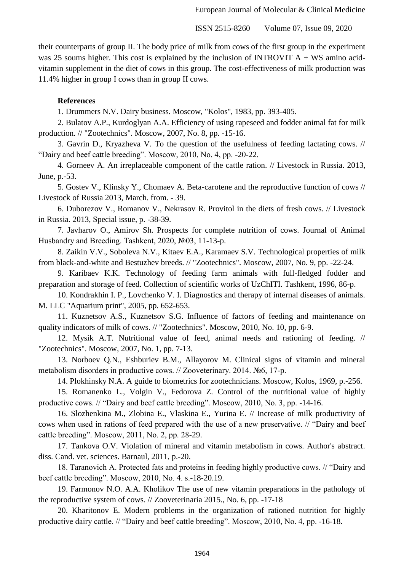their counterparts of group II. The body price of milk from cows of the first group in the experiment was 25 soums higher. This cost is explained by the inclusion of INTROVIT  $A + WS$  amino acidvitamin supplement in the diet of cows in this group. The cost-effectiveness of milk production was 11.4% higher in group I cows than in group II cows.

#### **References**

1. Drummers N.V. Dairy business. Moscow, "Kolos", 1983, pp. 393-405.

2. Bulatov A.P., Kurdoglyan A.A. Efficiency of using rapeseed and fodder animal fat for milk production. // "Zootechnics". Moscow, 2007, No. 8, pp. -15-16.

3. Gavrin D., Kryazheva V. To the question of the usefulness of feeding lactating cows. // "Dairy and beef cattle breeding". Moscow, 2010, No. 4, pp. -20-22.

4. Gorneev A. An irreplaceable component of the cattle ration. // Livestock in Russia. 2013, June, p.-53.

5. Gostev V., Klinsky Y., Chomaev A. Beta-carotene and the reproductive function of cows // Livestock of Russia 2013, March. from. - 39.

6. Duborezov V., Romanov V., Nekrasov R. Provitol in the diets of fresh cows. // Livestock in Russia. 2013, Special issue, p. -38-39.

7. Javharov O., Amirov Sh. Prospects for complete nutrition of cows. Journal of Animal Husbandry and Breeding. Tashkent, 2020, №03, 11-13-p.

8. Zaikin V.V., Soboleva N.V., Kitaev E.A., Karamaev S.V. Technological properties of milk from black-and-white and Bestuzhev breeds. // "Zootechnics". Moscow, 2007, No. 9, pp. -22-24.

9. Karibaev K.K. Technology of feeding farm animals with full-fledged fodder and preparation and storage of feed. Collection of scientific works of UzChITI. Tashkent, 1996, 86-p.

10. Kondrakhin I. P., Lovchenko V. I. Diagnostics and therapy of internal diseases of animals. M. LLC "Aquarium print", 2005, pp. 652-653.

11. Kuznetsov A.S., Kuznetsov S.G. Influence of factors of feeding and maintenance on quality indicators of milk of cows. // "Zootechnics". Moscow, 2010, No. 10, pp. 6-9.

12. Mysik A.T. Nutritional value of feed, animal needs and rationing of feeding. // "Zootechnics". Moscow, 2007, No. 1, pp. 7-13.

13. Norboev Q.N., Eshburiev B.M., Allayorov M. Clinical signs of vitamin and mineral metabolism disorders in productive cows. // Zooveterinary. 2014. №6, 17-p.

14. Plokhinsky N.A. A guide to biometrics for zootechnicians. Moscow, Kolos, 1969, p.-256.

15. Romanenko L., Volgin V., Fedorova Z. Control of the nutritional value of highly productive cows. // "Dairy and beef cattle breeding". Moscow, 2010, No. 3, pp. -14-16.

16. Slozhenkina M., Zlobina E., Vlaskina E., Yurina E. // Increase of milk productivity of cows when used in rations of feed prepared with the use of a new preservative. // "Dairy and beef cattle breeding". Moscow, 2011, No. 2, pp. 28-29.

17. Tankova O.V. Violation of mineral and vitamin metabolism in cows. Author's abstract. diss. Cand. vet. sciences. Barnaul, 2011, p.-20.

18. Taranovich A. Protected fats and proteins in feeding highly productive cows. // "Dairy and beef cattle breeding". Moscow, 2010, No. 4. s.-18-20.19.

19. Farmonov N.O. A.A. Kholikov The use of new vitamin preparations in the pathology of the reproductive system of cows. // Zooveterinaria 2015., No. 6, pp. -17-18

20. Kharitonov E. Modern problems in the organization of rationed nutrition for highly productive dairy cattle. // "Dairy and beef cattle breeding". Moscow, 2010, No. 4, pp. -16-18.